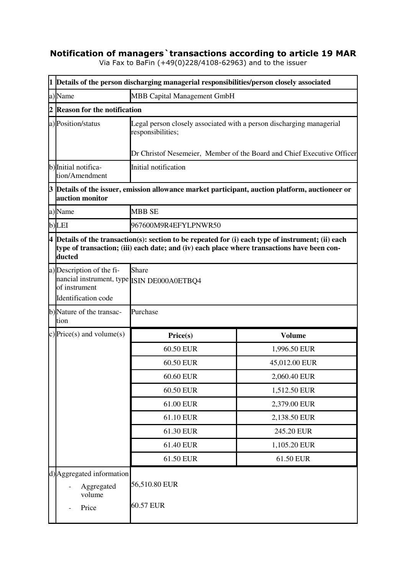## **Notification of managers`transactions according to article 19 MAR**

Via Fax to BaFin (+49(0)228/4108-62963) and to the issuer

|                | 1 Details of the person discharging managerial responsibilities/person closely associated                       |                                                                        |                                                                                                                                                                                                   |  |
|----------------|-----------------------------------------------------------------------------------------------------------------|------------------------------------------------------------------------|---------------------------------------------------------------------------------------------------------------------------------------------------------------------------------------------------|--|
|                | a)Name                                                                                                          | <b>MBB Capital Management GmbH</b>                                     |                                                                                                                                                                                                   |  |
| $\overline{2}$ | <b>Reason for the notification</b>                                                                              |                                                                        |                                                                                                                                                                                                   |  |
|                | a) Position/status                                                                                              | responsibilities;                                                      | Legal person closely associated with a person discharging managerial                                                                                                                              |  |
|                |                                                                                                                 | Dr Christof Nesemeier, Member of the Board and Chief Executive Officer |                                                                                                                                                                                                   |  |
|                | b) Initial notifica-<br>tion/Amendment                                                                          | Initial notification                                                   |                                                                                                                                                                                                   |  |
|                | auction monitor                                                                                                 |                                                                        | $3$ $\!\!$ $\!\!$ $\!\!$ $\!\!$ Details of the issuer, emission allowance market participant, auction platform, auctioneer or                                                                     |  |
|                | a)Name                                                                                                          | <b>MBB SE</b>                                                          |                                                                                                                                                                                                   |  |
|                | b)LEI                                                                                                           | 967600M9R4EFYLPNWR50                                                   |                                                                                                                                                                                                   |  |
|                | ducted                                                                                                          |                                                                        | 4 Details of the transaction(s): section to be repeated for (i) each type of instrument; (ii) each<br>type of transaction; (iii) each date; and (iv) each place where transactions have been con- |  |
|                | a) Description of the fi-<br>nancial instrument, type ISIN DE000A0ETBQ4<br>of instrument<br>Identification code | Share                                                                  |                                                                                                                                                                                                   |  |
|                | b)Nature of the transac-<br>tion                                                                                | Purchase                                                               |                                                                                                                                                                                                   |  |
|                | c) Price(s) and volume(s)                                                                                       | Price(s)                                                               | <b>Volume</b>                                                                                                                                                                                     |  |
|                |                                                                                                                 | 60.50 EUR                                                              | 1,996.50 EUR                                                                                                                                                                                      |  |
|                |                                                                                                                 | 60.50 EUR                                                              | 45,012.00 EUR                                                                                                                                                                                     |  |
|                |                                                                                                                 | 60.60 EUR                                                              | 2,060.40 EUR                                                                                                                                                                                      |  |
|                |                                                                                                                 | 60.50 EUR                                                              | 1,512.50 EUR                                                                                                                                                                                      |  |
|                |                                                                                                                 | 61.00 EUR                                                              | 2,379.00 EUR                                                                                                                                                                                      |  |
|                |                                                                                                                 | 61.10 EUR                                                              | 2,138.50 EUR                                                                                                                                                                                      |  |
|                |                                                                                                                 | 61.30 EUR                                                              | 245.20 EUR                                                                                                                                                                                        |  |
|                |                                                                                                                 | 61.40 EUR                                                              | 1,105.20 EUR                                                                                                                                                                                      |  |
|                |                                                                                                                 | 61.50 EUR                                                              | 61.50 EUR                                                                                                                                                                                         |  |
|                | d) Aggregated information<br>Aggregated<br>volume<br>Price                                                      | 56,510.80 EUR<br><b>60.57 EUR</b>                                      |                                                                                                                                                                                                   |  |